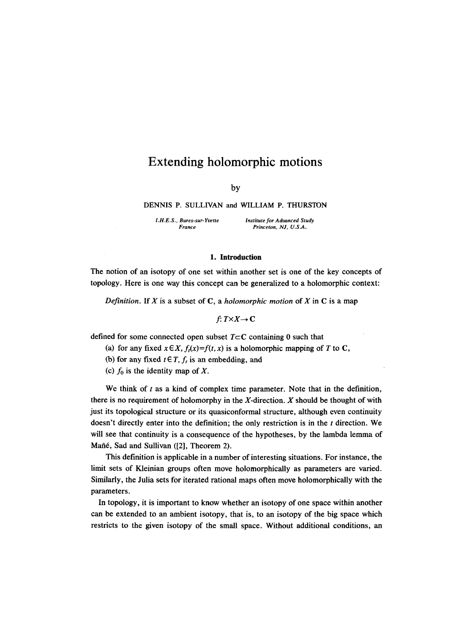# **Extending holomorphic motions**

by

#### DENNIS P. SULLIVAN and WILLIAM P. THURSTON

*I.H.E.S., Bures-sar-Yvette Institute for Advanced Study France Princeton, NJ, U.S.A.* 

## 1. **Introduction**

The notion of an isotopy of one set within another set is one of the key concepts of topology. Here is one way this concept can be generalized to a holomorphic context:

*Definition. If X* is a subset of C, a *holomorphic motion* of X in C is a map

 $f: T \times X \rightarrow \mathbb{C}$ 

defined for some connected open subset  $T\subset\mathbb{C}$  containing 0 such that

- (a) for any fixed  $x \in X$ ,  $f_i(x) = f(t, x)$  is a holomorphic mapping of T to C,
- (b) for any fixed  $t \in T$ ,  $f_t$  is an embedding, and
- (c)  $f_0$  is the identity map of X.

We think of  $t$  as a kind of complex time parameter. Note that in the definition, there is no requirement of holomorphy in the  $X$ -direction.  $X$  should be thought of with just its topological structure or its quasiconformal structure, although even continuity doesn't directly enter into the definition; the only restriction is in the  $t$  direction. We will see that continuity is a consequence of the hypotheses, by the lambda lemma of Mañé, Sad and Sullivan ([2], Theorem 2).

This definition is applicable in a number of interesting situations. For instance, the limit sets of Kleinian groups often move holomorphically as parameters are varied. Similarly, the Julia sets for iterated rational maps often move holomorphically with the parameters.

In topology, it is important to know whether an isotopy of one space within another can be extended to an ambient isotopy, that is, to an isotopy of the big space which restricts to the given isotopy of the small space. Without additional conditions, an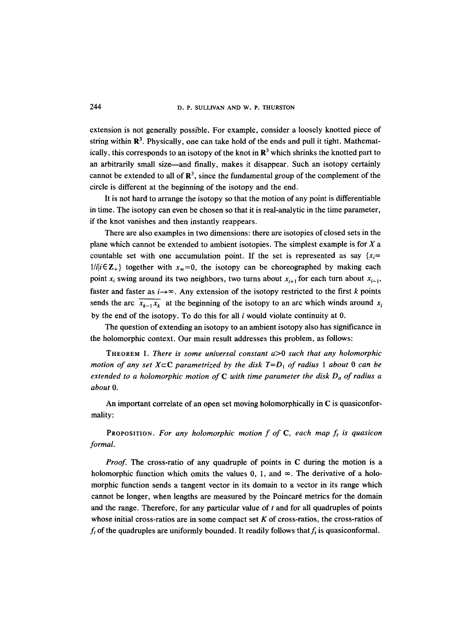extension is not generally possible. For example, consider a loosely knotted piece of string within  $\mathbb{R}^3$ . Physically, one can take hold of the ends and pull it tight. Mathematically, this corresponds to an isotopy of the knot in  $\mathbb{R}^3$  which shrinks the knotted part to an arbitrarily small size—and finally, makes it disappear. Such an isotopy certainly cannot be extended to all of  $\mathbb{R}^3$ , since the fundamental group of the complement of the circle is different at the beginning of the isotopy and the end.

It is not hard to arrange the isotopy so that the motion of any point is differentiable in time. The isotopy can even be chosen so that it is real-analytic in the time parameter, if the knot vanishes and then instantly reappears.

There are also examples in two dimensions: there are isotopies of closed sets in the plane which cannot be extended to ambient isotopies. The simplest example is for  $X$  a countable set with one accumulation point. If the set is represented as say  $\{x_i =$  $1/i \in \mathbb{Z}_+$  together with  $x_\infty = 0$ , the isotopy can be choreographed by making each point  $x_i$  swing around its two neighbors, two turns about  $x_{i+1}$  for each turn about  $x_{i-1}$ , faster and faster as  $i \rightarrow \infty$ . Any extension of the isotopy restricted to the first k points sends the arc  $\overline{x_{k-1}x_k}$  at the beginning of the isotopy to an arc which winds around  $x_i$ by the end of the isotopy. To do this for all  $i$  would violate continuity at  $0$ .

The question of extending an isotopy to an ambient isotopy also has significance in the holomorphic context. Our main result addresses this problem, as follows:

THEOREM 1. *There is some universal constant* a>0 *such that any holomorphic motion of any set X* $\subset$ C *parametrized by the disk T*= $D_1$  *of radius 1 about 0 can be extended to a holomorphic motion of* C with time parameter the disk  $D_a$  of radius a *about O.* 

An important correlate of an open set moving holomorphically in C is quasiconformality:

PROPOSITION. For any holomorphic motion f of C, each map f<sub>t</sub> is quasicon *formal.* 

*Proof.* The cross-ratio of any quadruple of points in C during the motion is a holomorphic function which omits the values 0, 1, and  $\infty$ . The derivative of a holomorphic function sends a tangent vector in its domain to a vector in its range which cannot be longer, when lengths are measured by the Poincar6 metrics for the domain and the range. Therefore, for any particular value of  $t$  and for all quadruples of points whose initial cross-ratios are in some compact set  $K$  of cross-ratios, the cross-ratios of  $f_t$  of the quadruples are uniformly bounded. It readily follows that  $f_t$  is quasiconformal.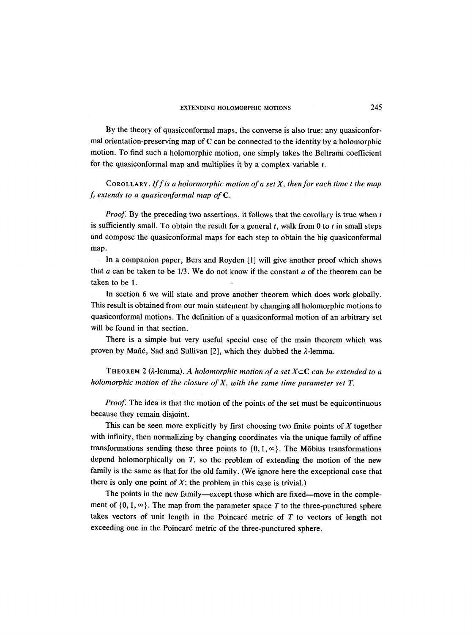By the theory of quasiconformal maps, the converse is also true: any quasiconformal orientation-preserving map of C can be connected to the identity by a holomorphic motion. To find such a holomorphic motion, one simply takes the Beltrami coefficient for the quasiconformal map and multiplies it by a complex variable  $t$ .

COROLLARY, *If f is a holormorphic motion of a set X, then for each time t the map ft extends to a quasiconformal map of C.* 

*Proof.* By the preceding two assertions, it follows that the corollary is true when t is sufficiently small. To obtain the result for a general  $t$ , walk from 0 to  $t$  in small steps and compose the quasicoifformal maps for each step to obtain the big quasiconformal map.

In a companion paper, Bers and Royden [1] will give another proof which shows that  $a$  can be taken to be 1/3. We do not know if the constant  $a$  of the theorem can be taken to be 1.

In section 6 we will state and prove another theorem which does work globally. This result is obtained from our main statement by changing all holomorphic motions to quasiconformal motions. The definition of a quasiconformal motion of an arbitrary set will be found in that section.

There is a simple but very useful special case of the main theorem which was proven by Mañé, Sad and Sullivan [2], which they dubbed the  $\lambda$ -lemma.

THEOREM 2 ( $\lambda$ -lemma). A holomorphic motion of a set  $X \subset \mathbb{C}$  can be extended to a *holomorphic motion of the closure of X, with the same time parameter set T.* 

*Proof.* The idea is that the motion of the points of the set must be equicontinuous because they remain disjoint.

This can be seen more explicitly by first choosing two finite points of  $X$  together with infinity, then normalizing by changing coordinates via the unique family of affine transformations sending these three points to  $\{0, 1, \infty\}$ . The Möbius transformations depend holomorphically on T, so the problem of extending the motion of the new family is the same as that for the old family. (We ignore here the exceptional case that there is only one point of  $X$ ; the problem in this case is trivial.)

The points in the new family—except those which are fixed—move in the complement of  $\{0, 1, \infty\}$ . The map from the parameter space T to the three-punctured sphere takes vectors of unit length in the Poincaré metric of  $T$  to vectors of length not exceeding one in the Poincar6 metric of the three-punctured sphere.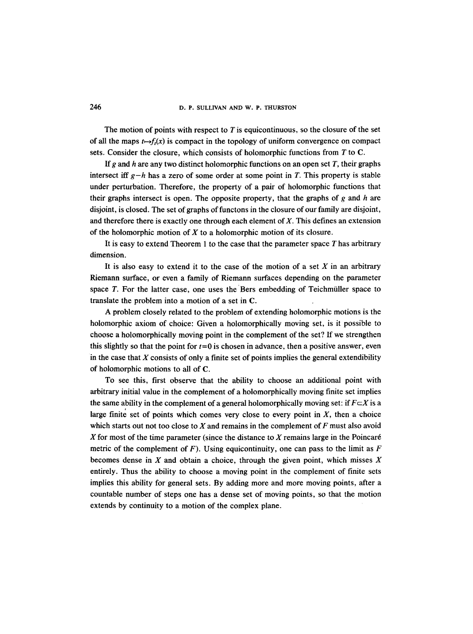The motion of points with respect to  $T$  is equicontinuous, so the closure of the set of all the maps  $t \rightarrow f(x)$  is compact in the topology of uniform convergence on compact sets. Consider the closure, which consists of holomorphic functions from T to C.

If g and h are any two distinct holomorphic functions on an open set  $T$ , their graphs intersect iff  $g-h$  has a zero of some order at some point in T. This property is stable under perturbation. Therefore, the property of a pair of holomorphic functions that their graphs intersect is open. The opposite property, that the graphs of  $g$  and  $h$  are disjoint, is closed. The set of graphs of functons in the closure of our family are disjoint, and therefore there is exactly one through each element of  $X$ . This defines an extension of the holomorphic motion of  $X$  to a holomorphic motion of its closure.

It is easy to extend Theorem 1 to the case that the parameter space  $T$  has arbitrary dimension.

It is also easy to extend it to the case of the motion of a set  $X$  in an arbitrary Riemann surface, or even a family of Riemann surfaces depending on the parameter space T. For the latter case, one uses the Bers embedding of Teichmüller space to translate the problem into a motion of a set in C.

A problem closely related to the problem of extending holomorphic motions is the holomorphic axiom of choice: Given a holomorphically moving set, is it possible to choose a holomorphically moving point in the complement of the set? If we strengthen this slightly so that the point for  $t=0$  is chosen in advance, then a positive answer, even in the case that  $X$  consists of only a finite set of points implies the general extendibility of holomorphic motions to all of C.

To see this, first observe that the ability to choose an additional point with arbitrary initial value in the complement of a holomorphically moving finite set implies the same ability in the complement of a general holomorphically moving set: if  $F\subset X$  is a large finite set of points which comes very close to every point in  $X$ , then a choice which starts out not too close to  $X$  and remains in the complement of  $F$  must also avoid X for most of the time parameter (since the distance to X remains large in the Poincaré metric of the complement of  $F$ ). Using equicontinuity, one can pass to the limit as  $F$ becomes dense in X and obtain a choice, through the given point, which misses X entirely. Thus the ability to choose a moving point in the complement of finite sets implies this ability for general sets. By adding more and more moving points, after a countable number of steps one has a dense set of moving points, so that the motion extends by continuity to a motion of the complex plane.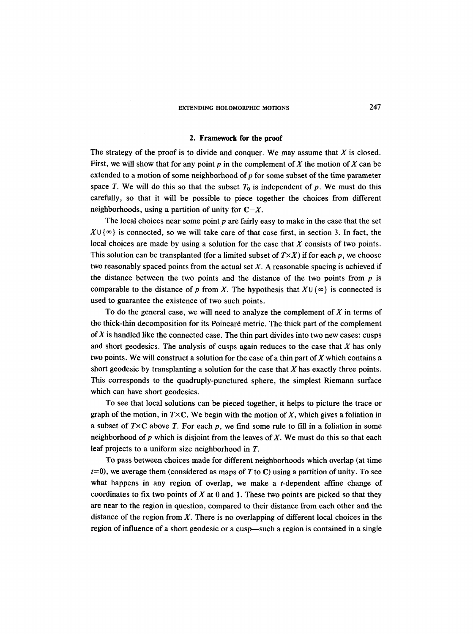#### **2. Framework for the proof**

The strategy of the proof is to divide and conquer. We may assume that  $X$  is closed. First, we will show that for any point  $p$  in the complement of  $X$  the motion of  $X$  can be extended to a motion of some neighborhood of  $p$  for some subset of the time parameter space T. We will do this so that the subset  $T_0$  is independent of p. We must do this carefully, so that it will be possible to piece together the choices from different neighborhoods, using a partition of unity for  $C-X$ .

The local choices near some point  $p$  are fairly easy to make in the case that the set  $X \cup \{ \infty \}$  is connected, so we will take care of that case first, in section 3. In fact, the local choices are made by using a solution for the case that  $X$  consists of two points. This solution can be transplanted (for a limited subset of  $T \times X$ ) if for each p, we choose two reasonably spaced points from the actual set  $X$ . A reasonable spacing is achieved if the distance between the two points and the distance of the two points from  $p$  is comparable to the distance of p from X. The hypothesis that  $X \cup {\infty}$  is connected is used to guarantee the existence of two such points.

To do the general case, we will need to analyze the complement of  $X$  in terms of the thick-thin decomposition for its Poincar6 metric. The thick part of the complement of  $X$  is handled like the connected case. The thin part divides into two new cases: cusps and short geodesics. The analysis of cusps again reduces to the case that  $X$  has only two points. We will construct a solution for the case of a thin part of  $X$  which contains a short geodesic by transplanting a solution for the case that  $X$  has exactly three points. This corresponds to the quadruply-punctured sphere, the simplest Riemann surface which can have short geodesics.

To see that local solutions can be pieced together, it helps to picture the trace or graph of the motion, in  $T \times \mathbb{C}$ . We begin with the motion of X, which gives a foliation in a subset of  $T \times C$  above T. For each p, we find some rule to fill in a foliation in some neighborhood of  $p$  which is disjoint from the leaves of  $X$ . We must do this so that each leaf projects to a uniform size neighborhood in T.

To pass between choices made for different neighborhoods which overlap (at time  $t=0$ , we average them (considered as maps of T to C) using a partition of unity. To see what happens in any region of overlap, we make a *t*-dependent affine change of coordinates to fix two points of  $X$  at 0 and 1. These two points are picked so that they are near to the region in question, compared to their distance from each other and the distance of the region from  $X$ . There is no overlapping of different local choices in the region of influence of a short geodesic or a cusp—such a region is contained in a single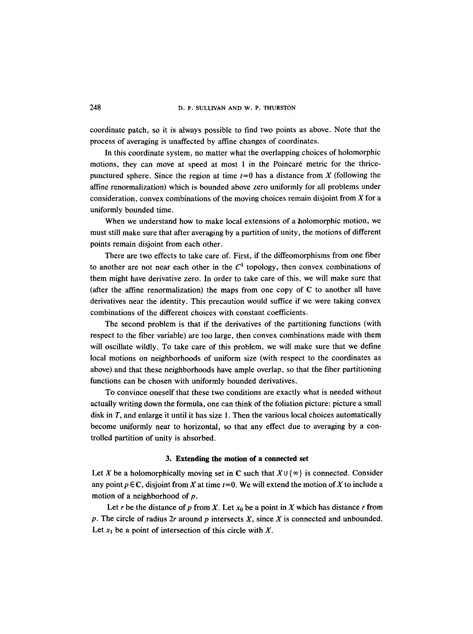# 248 D. P. SULLIVAN AND W. P. THURSTON

coordinate patch, so it is always possible to find two points as above. Note that the process of averaging is unaffected by affine changes of coordinates.

In this coordinate system, no matter what the overlapping choices of holomorphic motions, they can move at speed at most 1 in the Poincaré metric for the thricepunctured sphere. Since the region at time  $t=0$  has a distance from X (following the affine renormalization) which is bounded above zero uniformly for all problems under consideration, convex combinations of the moving choices remain disjoint from  $X$  for a uniformly bounded time.

When we understand how to make local extensions of a holomorphic motion, we must still make sure that after averaging by a partition of unity, the motions of different points remain disjoint from each other.

There are two effects to take care of. First, if the diffeomorphisms from one fiber to another are not near each other in the  $C<sup>1</sup>$  topology, then convex combinations of them might have derivative zero. In order to take care of this, we will make sure that (after the affine renormalization) the maps from one copy of  $C$  to another all have derivatives near the identity. This precaution would suffice if we were taking convex combinations of the different choices with constant coefficients.

The second problem is that if the derivatives of the partitioning functions (with respect to the fiber variable) are too large, then convex combinations made with them will oscillate wildly. To take care of this problem, we will make sure that we define local motions on neighborhoods of uniform size (with respect to the coordinates as above) and that these neighborhoods have ample overlap, so that the fiber partitioning functions can be chosen with uniformly bounded derivatives.

To convince oneself that these two conditions are exactly what is needed without actually writing down the formula, one can think of the foliation picture: picture a small disk in T, and enlarge it until it has size 1. Then the various local choices automatically become uniformly near to horizontal, so that any effect due to averaging by a controlled partition of unity is absorbed.

#### **3. Extending the motion of a connected set**

Let X be a holomorphically moving set in C such that  $X \cup \{ \infty \}$  is connected. Consider any point  $p \in \mathbb{C}$ , disjoint from X at time  $t=0$ . We will extend the motion of X to include a motion of a neighborhood of p.

Let r be the distance of p from X. Let  $x_0$  be a point in X which has distance r from p. The circle of radius 2r around p intersects  $X$ , since  $X$  is connected and unbounded. Let  $x_1$  be a point of intersection of this circle with X.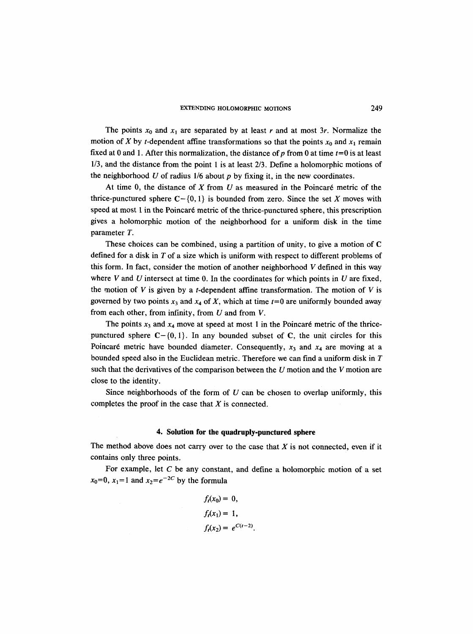The points  $x_0$  and  $x_1$  are separated by at least r and at most 3r. Normalize the motion of X by t-dependent affine transformations so that the points  $x_0$  and  $x_1$  remain fixed at 0 and 1. After this normalization, the distance of p from 0 at time  $t=0$  is at least 1/3, and the distance from the point 1 is at least 2/3. Define a holomorphic motions of the neighborhood  $U$  of radius 1/6 about  $p$  by fixing it, in the new coordinates.

At time 0, the distance of X from  $U$  as measured in the Poincaré metric of the thrice-punctured sphere  $C - \{0, 1\}$  is bounded from zero. Since the set X moves with speed at most 1 in the Poincaré metric of the thrice-punctured sphere, this prescription gives a holomorphic motion of the neighborhood for a uniform disk in the time parameter T.

These choices can be combined, using a partition of unity, to give a motion of C defined for a disk in T of a size which is uniform with respect to different problems of this form. In fact, consider the motion of another neighborhood V defined in this way where V and U intersect at time 0. In the coordinates for which points in U are fixed, the motion of V is given by a *t*-dependent affine transformation. The motion of V is governed by two points  $x_3$  and  $x_4$  of X, which at time  $t=0$  are uniformly bounded away from each other, from infinity, from  $U$  and from  $V$ .

The points  $x_3$  and  $x_4$  move at speed at most 1 in the Poincaré metric of the thricepunctured sphere  $C-\{0, 1\}$ . In any bounded subset of C, the unit circles for this Poincaré metric have bounded diameter. Consequently,  $x_3$  and  $x_4$  are moving at a bounded speed also in the Euclidean metric. Therefore we can find a uniform disk in T such that the derivatives of the comparison between the  $U$  motion and the V motion are close to the identity.

Since neighborhoods of the form of  $U$  can be chosen to overlap uniformly, this completes the proof in the case that  $X$  is connected.

#### **4. Solution for the quadruply-punctured sphere**

The method above does not carry over to the case that  $X$  is not connected, even if it contains only three points.

For example, let  $C$  be any constant, and define a holomorphic motion of a set  $x_0=0$ ,  $x_1=1$  and  $x_2=e^{-2C}$  by the formula

$$
f_t(x_0) = 0,
$$
  
\n
$$
f_t(x_1) = 1,
$$
  
\n
$$
f_t(x_2) = e^{C(t-2)}.
$$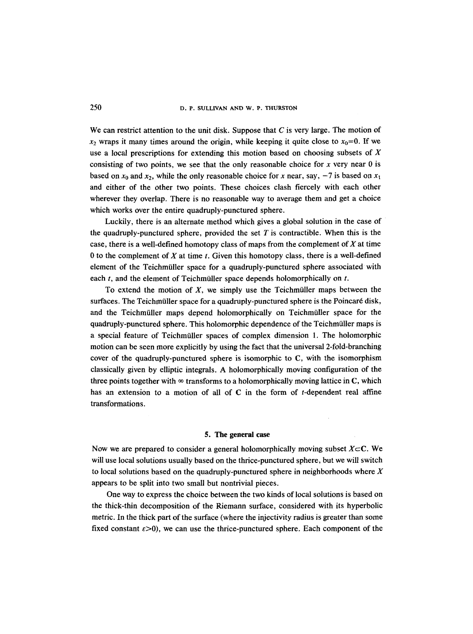We can restrict attention to the unit disk. Suppose that  $C$  is very large. The motion of  $x_2$  wraps it many times around the origin, while keeping it quite close to  $x_0=0$ . If we use a local prescriptions for extending this motion based on choosing subsets of  $X$ consisting of two points, we see that the only reasonable choice for x very near  $\theta$  is based on  $x_0$  and  $x_2$ , while the only reasonable choice for x near, say,  $-7$  is based on  $x_1$ and either of the other two points. These choices clash fiercely with each other wherever they overlap. There is no reasonable way to average them and get a choice which works over the entire quadruply-punctured sphere.

Luckily, there is an alternate method which gives a global solution in the case of the quadruply-punctured sphere, provided the set  $T$  is contractible. When this is the case, there is a well-defined homotopy class of maps from the complement of  $X$  at time 0 to the complement of  $X$  at time  $t$ . Given this homotopy class, there is a well-defined element of the Teichmüller space for a quadruply-punctured sphere associated with each  $t$ , and the element of Teichmüller space depends holomorphically on  $t$ .

To extend the motion of  $X$ , we simply use the Teichmüller maps between the surfaces. The Teichmüller space for a quadruply-punctured sphere is the Poincaré disk, and the Teichmüller maps depend holomorphically on Teichmüller space for the quadruply-punctured sphere. This holomorphic dependence of the Teichmüller maps is a special feature of Teichmiiller spaces of complex dimension 1. The holomorphic motion can be seen more explicitly by using the fact that the universal 2-fold-branching cover of the quadruply-punctured sphere is isomorphic to C, with the isomorphism classically given by elliptic integrals. A holomorphically moving configuration of the three points together with  $\infty$  transforms to a holomorphically moving lattice in C, which has an extension to a motion of all of C in the form of t-dependent real affine transformations.

#### **5. The general case**

Now we are prepared to consider a general holomorphically moving subset  $X\subset\mathbb{C}$ . We will use local solutions usually based on the thrice-punctured sphere, but we will switch to local solutions based on the quadruply-punctured sphere in neighborhoods where  $X$ appears to be split into two small but nontrivial pieces.

One way to express the choice between the two kinds of local solutions is based on the thick-thin decomposition of the Riemann surface, considered with its hyperbolic metric. In the thick part of the surface (where the injectivity radius is greater than some fixed constant  $\varepsilon > 0$ , we can use the thrice-punctured sphere. Each component of the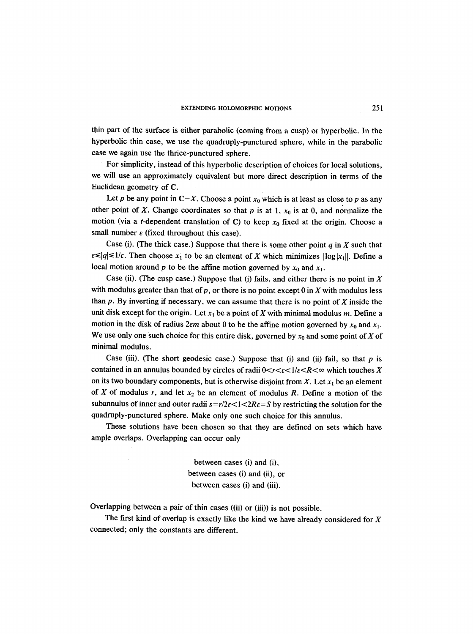thin part of the surface is either parabolic (coming from a cusp) or hyperbolic. In the hyperbolic thin case, we use the quadruply-punctured sphere, while in the parabolic case we again use the thrice-punctured sphere.

For simplicity, instead of this hyperbolic description of choices for local solutions, we will use an approximately equivalent but more direct description in terms of the Euclidean geometry of C,

Let p be any point in  $C-X$ . Choose a point  $x_0$  which is at least as close to p as any other point of X. Change coordinates so that p is at 1,  $x_0$  is at 0, and normalize the motion (via a *t*-dependent translation of C) to keep  $x_0$  fixed at the origin. Choose a small number  $\varepsilon$  (fixed throughout this case).

Case (i). (The thick case.) Suppose that there is some other point  $q$  in  $X$  such that  $\varepsilon \leq |q| \leq 1/\varepsilon$ . Then choose  $x_1$  to be an element of X which minimizes  $|\log |x_1||$ . Define a local motion around p to be the affine motion governed by  $x_0$  and  $x_1$ .

Case (ii). (The cusp case.) Suppose that (i) fails, and either there is no point in X with modulus greater than that of  $p$ , or there is no point except 0 in  $X$  with modulus less than p. By inverting if necessary, we can assume that there is no point of  $X$  inside the unit disk except for the origin. Let  $x_1$  be a point of X with minimal modulus m. Define a motion in the disk of radius  $2\varepsilon m$  about 0 to be the affine motion governed by  $x_0$  and  $x_1$ . We use only one such choice for this entire disk, governed by  $x_0$  and some point of X of minimal modulus.

Case (iii). (The short geodesic case.) Suppose that (i) and (ii) fail, so that  $p$  is contained in an annulus bounded by circles of radii  $0 < r < \varepsilon < 1/\varepsilon < R < \infty$  which touches X on its two boundary components, but is otherwise disjoint from X. Let  $x_1$  be an element of X of modulus r, and let  $x_2$  be an element of modulus R. Define a motion of the subannulus of inner and outer radii  $s = r/2\varepsilon < 1 < 2R\varepsilon = S$  by restricting the solution for the quadruply-punctured sphere. Make only one such choice for this annulus.

These solutions have been chosen so that they are defined on sets which have ample overlaps. Overlapping can occur only

> between cases (i) and (i), between cases (i) and (ii), or between cases (i) and (iii).

Overlapping between a pair of thin cases ((ii) or (iii)) is not possible.

The first kind of overlap is exactly like the kind we have already considered for  $X$ connected; only the constants are different.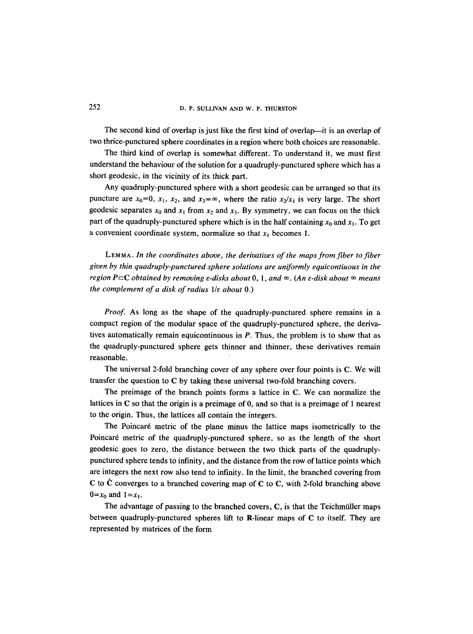The second kind of overlap is just like the first kind of overlap—it is an overlap of two thrice-punctured sphere coordinates in a region where both choices are reasonable.

The third kind of overlap is somewhat different. To understand it, we must first understand the behaviour of the solution for a quadruply-punctured sphere which has a short geodesic, in the vicinity of its thick part.

Any quadruply-punctured sphere with a short geodesic can be arranged so that its puncture are  $x_0=0$ ,  $x_1$ ,  $x_2$ , and  $x_3=\infty$ , where the ratio  $x_2/x_1$  is very large. The short geodesic separates  $x_0$  and  $x_1$  from  $x_2$  and  $x_3$ . By symmetry, we can focus on the thick part of the quadruply-punctured sphere which is in the half containing  $x_0$  and  $x_1$ . To get a convenient coordinate system, normalize so that  $x_1$  becomes 1.

LEMMA, *In the coordinates above, the derivatives of the maps fromfiber to fiber given by thin quadruply-punctured sphere solutions are uniformly equicontiuous in the region P~C obtained by removing e-disks about* 0, 1, *and oo. (An e-disk about oo means the complement of a disk of radius 1/e about 0.)* 

*Proof.* As long as the shape of the quadruply-punctured sphere remains in a compact region of the modular space of the quadruply-punctured sphere, the derivatives automatically remain equicontinuous in *. Thus, the problem is to show that as* the *quadruply-punctured* sphere gets thinner and thinner, these derivatives remain reasonable.

The universal 2-fold branching cover of any sphere over four points is C. We will transfer the question to C by taking these universal two-fold branching covers.

The preimage of the branch points forms a lattice in C. We can normalize the lattices in C so that the origin is a preimage of 0, and so that is a preimage of 1 nearest to the origin. Thus, the lattices all contain the integers.

The Poincaré metric of the plane minus the lattice maps isometrically to the Poincar6 metric of the quadruply-punctured sphere, so as the length of the short geodesic goes to zero, the distance between the two thick parts of the quadruplypunctured sphere tends to infinity, and the distance from the row of lattice points which are integers the next row also tend to infinity. In the limit, the branched covering from C to  $\hat{C}$  converges to a branched covering map of C to C, with 2-fold branching above  $0 = x_0$  and  $1 = x_1$ .

The advantage of passing to the branched covers,  $C$ , is that the Teichmüller maps between quadruply-punctured spheres lift to R-linear maps of C to itself. They are represented by matrices of the form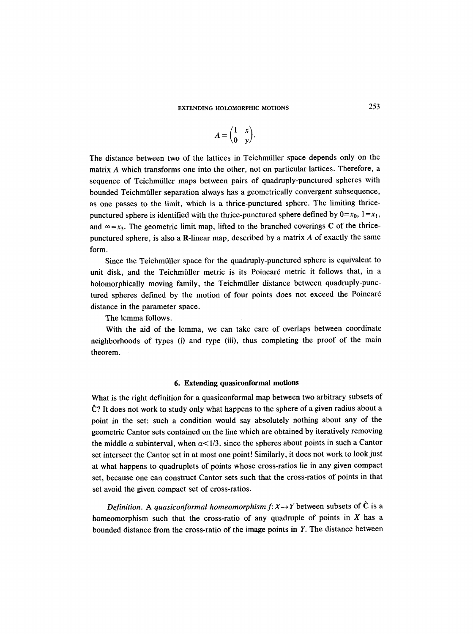$$
A = \begin{pmatrix} 1 & x \\ 0 & y \end{pmatrix}.
$$

The distance between two of the lattices in Teichmüller space depends only on the matrix A which transforms one into the other, not on particular lattices. Therefore, a sequence of Teichmiiller maps between pairs of quadruply-punctured spheres with bounded Teichmüller separation always has a geometrically convergent subsequence, as one passes to the limit, which is a thrice-punctured sphere. The limiting thricepunctured sphere is identified with the thrice-punctured sphere defined by  $0=x_0$ ,  $1=x_1$ , and  $\infty = x_3$ . The geometric limit map, lifted to the branched coverings C of the thricepunctured sphere, is also a R-linear map, described by a matrix A of exactly the same form.

Since the Teichmüller space for the quadruply-punctured sphere is equivalent to unit disk, and the Teichmüller metric is its Poincaré metric it follows that, in a holomorphically moving family, the Teichmüller distance between quadruply-punctured spheres defined by the motion of four points does not exceed the Poincar6 distance in the parameter space.

The lemma follows.

With the aid of the lemma, we can take care of overlaps between coordinate neighborhoods of types (i) and type (iii), thus completing the proof of the main theorem.

#### **6. Extending quasiconformal motions**

What is the right definition for a quasiconformal map between two arbitrary subsets of  $\hat{C}$ ? It does not work to study only what happens to the sphere of a given radius about a point in the set: such a condition would say absolutely nothing about any of the geometric Cantor sets contained on the line which are obtained by iteratively removing the middle  $\alpha$  subinterval, when  $\alpha$ <1/3, since the spheres about points in such a Cantor set intersect the Cantor set in at most one point! Similarly, it does not work to look just at what happens to quadruplets of points whose cross-ratios lie in any given compact set, because one can construct Cantor sets such that the cross-ratios of points in that set avoid the given compact set of cross-ratios.

*Definition.* A quasiconformal homeomorphism  $f: X \rightarrow Y$  between subsets of  $\hat{C}$  is a homeomorphism such that the cross-ratio of any quadruple of points in  $X$  has a bounded distance from the cross-ratio of the image points in Y. The distance between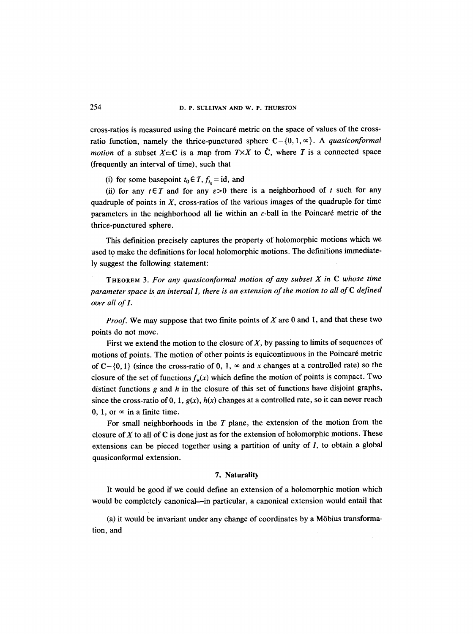cross-ratios is measured using the Poincar6 metric on the space of values of the crossratio function, namely the thrice-punctured sphere  $C-\{0, 1, \infty\}$ . A *quasiconformal motion* of a subset  $X \subset \mathbb{C}$  is a map from  $T \times X$  to  $\hat{\mathbb{C}}$ , where T is a connected space (frequently an interval of time), such that

(i) for some basepoint  $t_0 \in T$ ,  $f_{t_0} = id$ , and

(ii) for any  $t \in T$  and for any  $\varepsilon > 0$  there is a neighborhood of t such for any quadruple of points in  $X$ , cross-ratios of the various images of the quadruple for time parameters in the neighborhood all lie within an  $\varepsilon$ -ball in the Poincaré metric of the thrice-punctured sphere.

This definition precisely captures the property of holomorphic motions which we used to make the definitions for local holomorphic motions. The definitions immediately suggest the following statement:

THEOREM 3. *For any quasiconformal motion of any subset X in C whose time parameter space is an interval I, there is an extension of the motion to all of C defined over all of L* 

*Proof.* We may suppose that two finite points of X are 0 and 1, and that these two points do not move.

First we extend the motion to the closure of  $X$ , by passing to limits of sequences of motions of points. The motion of other points is equicontinuous in the Poincar6 metric of  $C-\{0, 1\}$  (since the cross-ratio of 0, 1,  $\infty$  and x changes at a controlled rate) so the closure of the set of functions  $f_*(x)$  which define the motion of points is compact. Two distinct functions  $g$  and  $h$  in the closure of this set of functions have disjoint graphs, since the cross-ratio of 0, 1,  $g(x)$ ,  $h(x)$  changes at a controlled rate, so it can never reach 0, 1, or  $\infty$  in a finite time.

For small neighborhoods in the  $T$  plane, the extension of the motion from the closure of  $X$  to all of  $C$  is done just as for the extension of holomorphic motions. These extensions can be pieced together using a partition of unity of I, to obtain a global quasiconformal extension.

#### **7. Naturality**

It would be good if we could define an extension of a holomorphic motion which would be completely canonical--in particular, a canonical extension would entail that

(a) it would be invariant under any change of coordinates by a M6bius transformation, and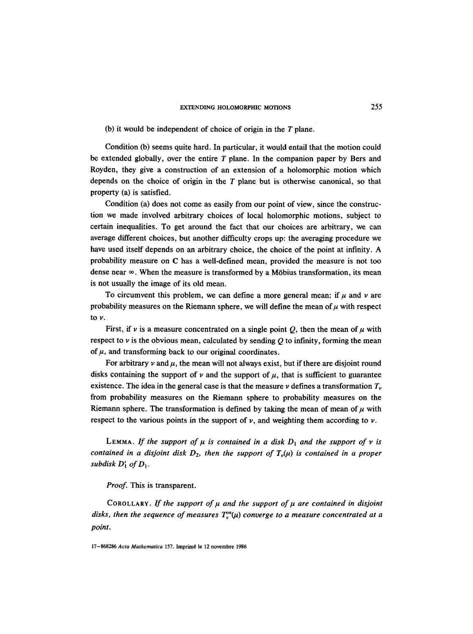(b) it would be independent of choice of origin in the T plane.

Condition (b) seems quite hard. In particular, it would entail that the motion could be extended globally, over the entire  $T$  plane. In the companion paper by Bers and Royden, they give a construction of an extension of a holomorphic motion which depends on the choice of origin in the  $T$  plane but is otherwise canonical, so that property (a) is satisfied.

Condition (a) does not come as easily from our point of view, since the construction we made involved arbitrary choices of local holomorphic motions, subject to certain inequalities. To get around the fact that our choices are arbitrary, we can average different choices, but another difficulty crops up: the averaging procedure we have used itself depends on an arbitrary choice, the choice of the point at infinity. A probability measure on C has a well-defined mean, provided the measure is not too dense near  $\infty$ . When the measure is transformed by a Möbius transformation, its mean is not usually the image of its old mean.

To circumvent this problem, we can define a more general mean: if  $\mu$  and  $\nu$  are probability measures on the Riemann sphere, we will define the mean of  $\mu$  with respect to v.

First, if v is a measure concentrated on a single point Q, then the mean of  $\mu$  with respect to  $\nu$  is the obvious mean, calculated by sending Q to infinity, forming the mean of  $\mu$ , and transforming back to our original coordinates.

For arbitrary  $\nu$  and  $\mu$ , the mean will not always exist, but if there are disjoint round disks containing the support of  $\nu$  and the support of  $\mu$ , that is sufficient to guarantee existence. The idea in the general case is that the measure  $\nu$  defines a transformation  $T_{\nu}$ from probability measures on the Riemann sphere to probability measures on the Riemann sphere. The transformation is defined by taking the mean of mean of  $\mu$  with respect to the various points in the support of  $\nu$ , and weighting them according to  $\nu$ .

LEMMA. If the support of  $\mu$  is contained in a disk  $D_1$  and the support of  $\nu$  is *contained in a disjoint disk*  $D_2$ *, then the support of*  $T_v(\mu)$  *is contained in a proper subdisk Di of D1.* 

## *Proof.* This is transparent.

COROLLARY. If the support of  $\mu$  and the support of  $\mu$  are contained in disjoint *disks, then the sequence of measures*  $T_v^{on}(\mu)$  converge to a measure concentrated at a *point.* 

<sup>17-868286</sup> Acta Mathematica 157. Imprimé le 12 novembre 1986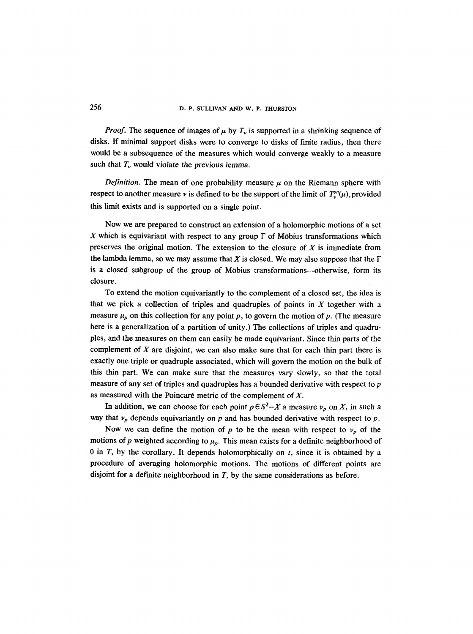*Proof.* The sequence of images of  $\mu$  by  $T_{\nu}$  is supported in a shrinking sequence of disks. If minimal support disks were to converge to disks of finite radius, then there would be a subsequence of the measures which would converge weakly to a measure such that  $T_v$  would violate the previous lemma.

*Definition.* The mean of one probability measure  $\mu$  on the Riemann sphere with respect to another measure v is defined to be the support of the limit of  $T_{\nu}^{\nu\mu}(\mu)$ , provided this limit exists and is supported on a single point.

Now we are prepared to construct an extension of a holomorphic motions of a set X which is equivariant with respect to any group  $\Gamma$  of Möbius transformations which preserves the original motion. The extension to the closure of  $X$  is immediate from the lambda lemma, so we may assume that X is closed. We may also suppose that the  $\Gamma$ is a closed subgroup of the group of Möbius transformations---otherwise, form its closure.

To extend the motion equivariantly to the complement of a closed set, the idea is that we pick a collection of triples and quadruples of points in  $X$  together with a measure  $\mu_p$  on this collection for any point p, to govern the motion of p. (The measure here is a generalization of a partition of unity.) The collections of triples and quadruples, and the measures on them can easily be made equivariant. Since thin parts of the complement of  $X$  are disjoint, we can also make sure that for each thin part there is exactly one triple or quadruple associated, which will govern the motion on the bulk of this thin part. We can make sure that the measures vary slowly, so that the total measure of any set of triples and quadruples has a bounded derivative with respect to  $p$ as measured with the Poincaré metric of the complement of  $X$ .

In addition, we can choose for each point  $p \in S^2 - X$  a measure  $\nu_p$  on X, in such a way that  $v_p$  depends equivariantly on  $p$  and has bounded derivative with respect to  $p$ .

Now we can define the motion of p to be the mean with respect to  $v_p$  of the motions of p weighted according to  $\mu_p$ . This mean exists for a definite neighborhood of 0 in  $T$ , by the corollary. It depends holomorphically on  $t$ , since it is obtained by a procedure of averaging laolomorphic motions. The motions of different points are disjoint for a definite neighborhood in  $T$ , by the same considerations as before.